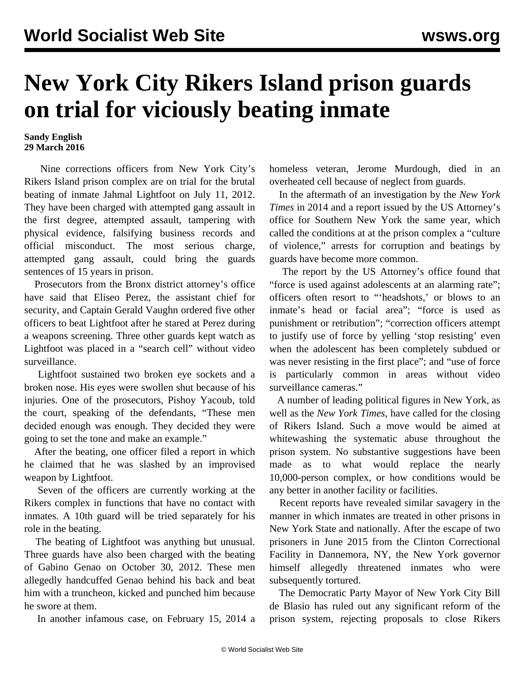## **New York City Rikers Island prison guards on trial for viciously beating inmate**

## **Sandy English 29 March 2016**

 Nine corrections officers from New York City's Rikers Island prison complex are on trial for the brutal beating of inmate Jahmal Lightfoot on July 11, 2012. They have been charged with attempted gang assault in the first degree, attempted assault, tampering with physical evidence, falsifying business records and official misconduct. The most serious charge, attempted gang assault, could bring the guards sentences of 15 years in prison.

 Prosecutors from the Bronx district attorney's office have said that Eliseo Perez, the assistant chief for security, and Captain Gerald Vaughn ordered five other officers to beat Lightfoot after he stared at Perez during a weapons screening. Three other guards kept watch as Lightfoot was placed in a "search cell" without video surveillance.

 Lightfoot sustained two broken eye sockets and a broken nose. His eyes were swollen shut because of his injuries. One of the prosecutors, Pishoy Yacoub, told the court, speaking of the defendants, "These men decided enough was enough. They decided they were going to set the tone and make an example."

 After the beating, one officer filed a report in which he claimed that he was slashed by an improvised weapon by Lightfoot.

 Seven of the officers are currently working at the Rikers complex in functions that have no contact with inmates. A 10th guard will be tried separately for his role in the beating.

 The beating of Lightfoot was anything but unusual. Three guards have also been charged with the beating of Gabino Genao on October 30, 2012. These men allegedly handcuffed Genao behind his back and beat him with a truncheon, kicked and punched him because he swore at them.

In another infamous case, on February 15, 2014 a

homeless veteran, Jerome Murdough, died in an overheated cell because of neglect from guards.

 In the aftermath of an investigation by the *New York Times* in 2014 and a report issued by the US Attorney's office for Southern New York the same year, which called the conditions at at the prison complex a "culture of violence," arrests for corruption and beatings by guards have become more common.

 The report by the US Attorney's office found that "force is used against adolescents at an alarming rate"; officers often resort to "'headshots,' or blows to an inmate's head or facial area"; "force is used as punishment or retribution"; "correction officers attempt to justify use of force by yelling 'stop resisting' even when the adolescent has been completely subdued or was never resisting in the first place"; and "use of force is particularly common in areas without video surveillance cameras."

 A number of leading political figures in New York, as well as the *New York Times*, have called for the closing of Rikers Island. Such a move would be aimed at whitewashing the systematic abuse throughout the prison system. No substantive suggestions have been made as to what would replace the nearly 10,000-person complex, or how conditions would be any better in another facility or facilities.

 Recent reports have revealed similar savagery in the manner in which inmates are treated in other prisons in New York State and nationally. After the escape of two prisoners in June 2015 from the Clinton Correctional Facility in Dannemora, NY, the New York governor himself allegedly threatened inmates who were subsequently tortured.

 The Democratic Party Mayor of New York City Bill de Blasio has ruled out any significant reform of the prison system, rejecting proposals to close Rikers